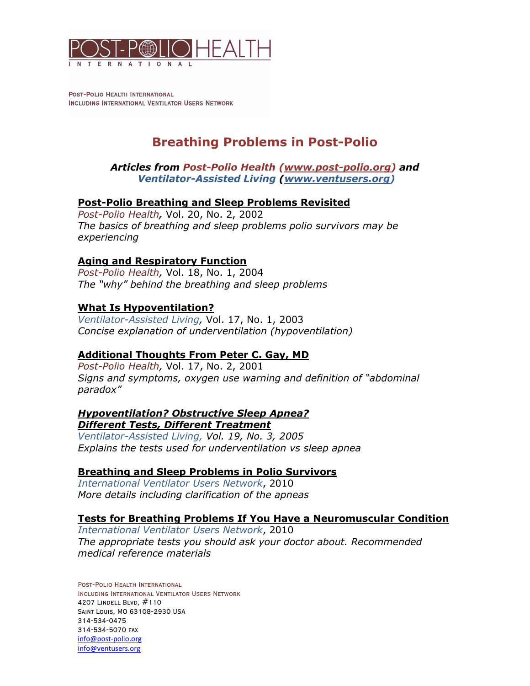

POST-POLIO HEALTH INTERNATIONAL INCLUDING INTERNATIONAL VENTILATOR USERS NETWORK

# **Breathing Problems in Post-Polio**

*Articles from Post-Polio Health [\(www.post-polio.org\)](http://www.post-polio.org) and Ventilator-Assisted Living ([www.ventusers.org\)](http://www.ventusers.org)*

### **Post-Polio Breathing and Sleep Problems Revisited**

*Post-Polio Health,* Vol. 20, No. 2, 2002 *The basics of breathing and sleep problems polio survivors may be experiencing*

### **Aging and Respiratory Function**

*Post-Polio Health,* Vol. 18, No. 1, 2004 *The "why" behind the breathing and sleep problems*

#### **What Is Hypoventilation?**

*Ventilator-Assisted Living,* Vol. 17, No. 1, 2003 *Concise explanation of underventilation (hypoventilation)*

### **Additional Thoughts From Peter C. Gay, MD**

*Post-Polio Health,* Vol. 17, No. 2, 2001 *Signs and symptoms, oxygen use warning and definition of "abdominal paradox"* 

#### *Hypoventilation? Obstructive Sleep Apnea? Different Tests, Different Treatment*

*Ventilator-Assisted Living, Vol. 19, No. 3, 2005 Explains the tests used for underventilation vs sleep apnea*

#### **Breathing and Sleep Problems in Polio Survivors**

*International Ventilator Users Network*, 2010 *More details including clarification of the apneas* 

#### **Tests for Breathing Problems If You Have a Neuromuscular Condition**

*International Ventilator Users Network*, 2010 *The appropriate tests you should ask your doctor about. Recommended medical reference materials*

Post-Polio Health International Including International Ventilator Users Network 4207 Lindell Blvd, #110 Saint Louis, MO 63108-2930 USA 314-534-0475 314-534-5070 fax [info@post-polio.org](mailto:info@post-polio.org)  [info@ventusers.org](mailto:info@ventusers.org)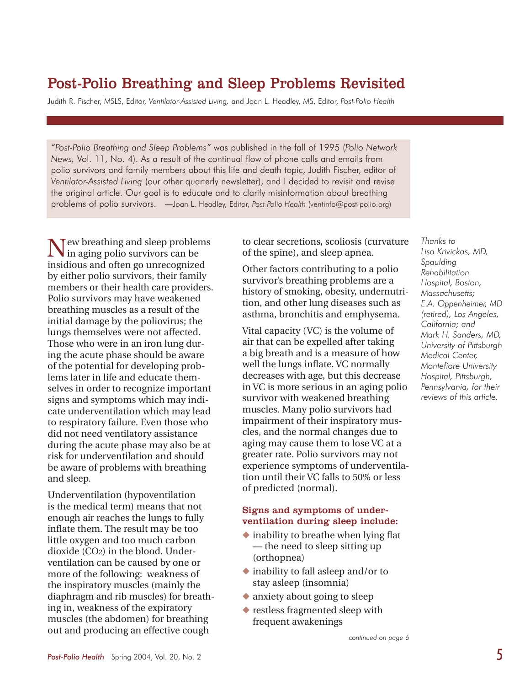# Post-Polio Breathing and Sleep Problems Revisited

Judith R. Fischer, MSLS, Editor, *Ventilator-Assisted Living,* and Joan L. Headley, MS, Editor, *Post-Polio Health* 

*"Post-Polio Breathing and Sleep Problems"* was published in the fall of 1995 (*Polio Network News,* Vol. 11, No. 4). As a result of the continual flow of phone calls and emails from polio survivors and family members about this life and death topic, Judith Fischer, editor of *Ventilator-Assisted Living* (our other quarterly newsletter), and I decided to revisit and revise the original article. Our goal is to educate and to clarify misinformation about breathing problems of polio survivors. —Joan L. Headley, Editor, *Post-Polio Health* ([ventinfo@post-polio.org\)](mailto:ventinfo@post-polio.org)

New breathing and sleep problems in aging polio survivors can be insidious and often go unrecognized by either polio survivors, their family members or their health care providers. Polio survivors may have weakened breathing muscles as a result of the initial damage by the poliovirus; the lungs themselves were not affected. Those who were in an iron lung during the acute phase should be aware of the potential for developing problems later in life and educate themselves in order to recognize important signs and symptoms which may indicate underventilation which may lead to respiratory failure. Even those who did not need ventilatory assistance during the acute phase may also be at risk for underventilation and should be aware of problems with breathing and sleep.

Underventilation (hypoventilation is the medical term) means that not enough air reaches the lungs to fully inflate them. The result may be too little oxygen and too much carbon dioxide (CO2) in the blood. Underventilation can be caused by one or more of the following: weakness of the inspiratory muscles (mainly the diaphragm and rib muscles) for breathing in, weakness of the expiratory muscles (the abdomen) for breathing out and producing an effective cough

to clear secretions, scoliosis (curvature of the spine), and sleep apnea.

Other factors contributing to a polio survivor's breathing problems are a history of smoking, obesity, undernutrition, and other lung diseases such as asthma, bronchitis and emphysema.

Vital capacity (VC) is the volume of air that can be expelled after taking a big breath and is a measure of how well the lungs inflate. VC normally decreases with age, but this decrease in VC is more serious in an aging polio survivor with weakened breathing muscles. Many polio survivors had impairment of their inspiratory muscles, and the normal changes due to aging may cause them to lose VC at a greater rate. Polio survivors may not experience symptoms of underventilation until their VC falls to 50% or less of predicted (normal).

#### Signs and symptoms of underventilation during sleep include:

- $\bullet$  inability to breathe when lying flat — the need to sleep sitting up (orthopnea)
- $\blacklozenge$  inability to fall asleep and/or to stay asleep (insomnia)
- $\bullet$  anxiety about going to sleep
- $\bullet$  restless fragmented sleep with frequent awakenings

*continued on page 6*

*Thanks to Lisa Krivickas, MD, Spaulding Rehabilitation Hospital, Boston, Massachusetts; E.A. Oppenheimer, MD (retired), Los Angeles, California; and Mark H. Sanders, MD, University of Pittsburgh Medical Center, Montefiore University Hospital, Pittsburgh, Pennsylvania, for their reviews of this article.*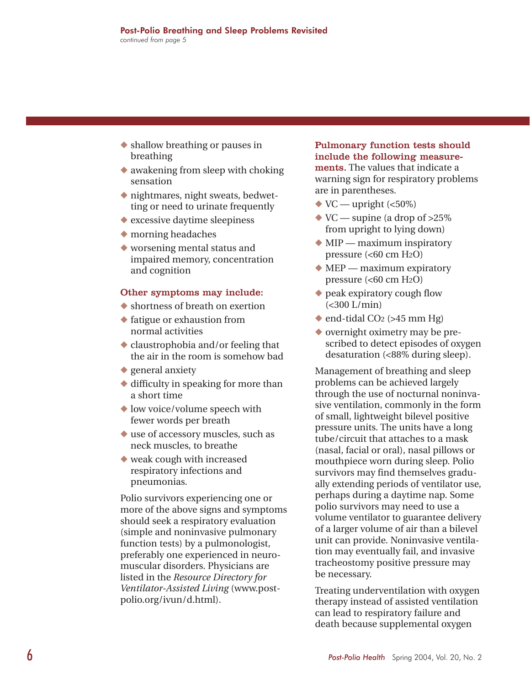- $\bullet$  shallow breathing or pauses in breathing
- $\bullet$  awakening from sleep with choking sensation
- $\bullet$  nightmares, night sweats, bedwetting or need to urinate frequently
- $\bullet$  excessive daytime sleepiness
- $\bullet$  morning headaches
- $\blacklozenge$  worsening mental status and impaired memory, concentration and cognition

#### Other symptoms may include:

- $\blacklozenge$  shortness of breath on exertion
- $\blacklozenge$  fatigue or exhaustion from normal activities
- $\bullet$  claustrophobia and/or feeling that the air in the room is somehow bad
- $\bullet$  general anxiety
- $\blacklozenge$  difficulty in speaking for more than a short time
- $\blacklozenge$  low voice/volume speech with fewer words per breath
- $\blacklozenge$  use of accessory muscles, such as neck muscles, to breathe
- $\bullet$  weak cough with increased respiratory infections and pneumonias.

Polio survivors experiencing one or more of the above signs and symptoms should seek a respiratory evaluation (simple and noninvasive pulmonary function tests) by a pulmonologist, preferably one experienced in neuromuscular disorders. Physicians are listed in the *Resource Directory for [Ventilator-Assisted Living](http://www.post-polio.org/ivun/d.html)* ([www.po](http://www.post-polio.org/ivun/d.html)stpolio[.org/ivun/d.html\).](http://www.post-polio.org/ivun/d.html)

Pulmonary function tests should include the following measurements. The values that indicate a warning sign for respiratory problems are in parentheses.

- $\blacktriangleright$  VC upright (<50%)
- $\blacktriangleright$  VC supine (a drop of >25%) from upright to lying down)
- $\blacklozenge$  MIP maximum inspiratory pressure (<60 cm H2O)
- $\blacklozenge$  MEP maximum expiratory pressure  $( $60 \text{ cm } H_2O$ )$
- $\bullet$  peak expiratory cough flow (<300 L/min)
- $\bullet$  end-tidal CO<sub>2</sub> (>45 mm Hg)
- $\bullet$  overnight oximetry may be prescribed to detect episodes of oxygen desaturation (<88% during sleep).

Management of breathing and sleep problems can be achieved largely through the use of nocturnal noninvasive ventilation, commonly in the form of small, lightweight bilevel positive pressure units. The units have a long tube/circuit that attaches to a mask (nasal, facial or oral), nasal pillows or mouthpiece worn during sleep. Polio survivors may find themselves gradually extending periods of ventilator use, perhaps during a daytime nap. Some polio survivors may need to use a volume ventilator to guarantee delivery of a larger volume of air than a bilevel unit can provide. Noninvasive ventilation may eventually fail, and invasive tracheostomy positive pressure may be necessary.

Treating underventilation with oxygen therapy instead of assisted ventilation can lead to respiratory failure and death because supplemental oxygen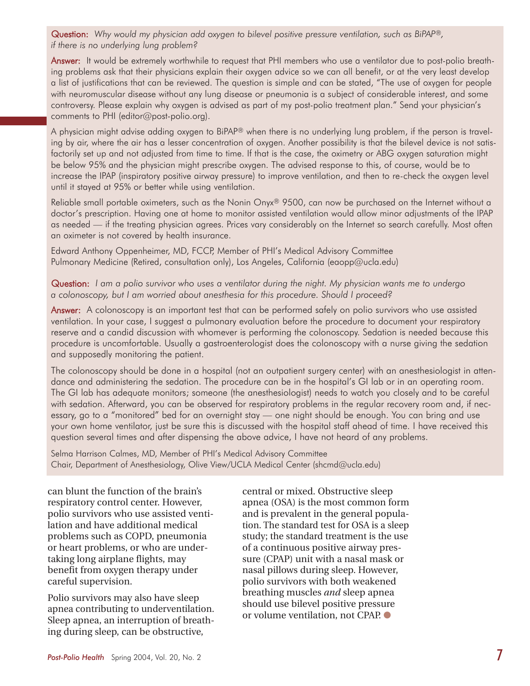Question: *Why would my physician add oxygen to bilevel positive pressure ventilation, such as BiPAP®, if there is no underlying lung problem?*

Answer: It would be extremely worthwhile to request that PHI members who use a ventilator due to post-polio breathing problems ask that their physicians explain their oxygen advice so we can all benefit, or at the very least develop a list of justifications that can be reviewed. The question is simple and can be stated, "The use of oxygen for people with neuromuscular disease without any lung disease or pneumonia is a subject of considerable interest, and some controversy. Please explain why oxygen is advised as part of my post-polio treatment plan." Send your physician's comments to PHI ([editor@post-polio.org\).](mailto:editor@post-polio.org)

A physician might advise adding oxygen to BiPAP*®* when there is no underlying lung problem, if the person is traveling by air, where the air has a lesser concentration of oxygen. Another possibility is that the bilevel device is not satisfactorily set up and not adjusted from time to time. If that is the case, the oximetry or ABG oxygen saturation might be below 95% and the physician might prescribe oxygen. The advised response to this, of course, would be to increase the IPAP (inspiratory positive airway pressure) to improve ventilation, and then to re-check the oxygen level until it stayed at 95% or better while using ventilation.

Reliable small portable oximeters, such as the Nonin Onyx*®* 9500, can now be purchased on the Internet without a doctor's prescription. Having one at home to monitor assisted ventilation would allow minor adjustments of the IPAP as needed — if the treating physician agrees. Prices vary considerably on the Internet so search carefully. Most often an oximeter is not covered by health insurance.

Edward Anthony Oppenheimer, MD, FCCP, Member of PHI's Medical Advisory Committee Pulmonary Medicine (Retired, consultation only), Los Angeles, California [\(eaopp@ucla.edu\)](mailto:eaopp@ucla.edu)

Question: *I am a polio survivor who uses a ventilator during the night. My physician wants me to undergo a colonoscopy, but I am worried about anesthesia for this procedure. Should I proceed?*

Answer: A colonoscopy is an important test that can be performed safely on polio survivors who use assisted ventilation. In your case, I suggest a pulmonary evaluation before the procedure to document your respiratory reserve and a candid discussion with whomever is performing the colonoscopy. Sedation is needed because this procedure is uncomfortable. Usually a gastroenterologist does the colonoscopy with a nurse giving the sedation and supposedly monitoring the patient.

The colonoscopy should be done in a hospital (not an outpatient surgery center) with an anesthesiologist in attendance and administering the sedation. The procedure can be in the hospital's GI lab or in an operating room. The GI lab has adequate monitors; someone (the anesthesiologist) needs to watch you closely and to be careful with sedation. Afterward, you can be observed for respiratory problems in the regular recovery room and, if necessary, go to a "monitored" bed for an overnight stay — one night should be enough. You can bring and use your own home ventilator, just be sure this is discussed with the hospital staff ahead of time. I have received this question several times and after dispensing the above advice, I have not heard of any problems.

Selma Harrison Calmes, MD, Member of PHI's Medical Advisory Committee Chair, Department of Anesthesiology, Olive View/UCLA Medical Center [\(shcmd@ucla.edu\)](mailto:shcmd@ucla.edu)

can blunt the function of the brain's respiratory control center. However, polio survivors who use assisted ventilation and have additional medical problems such as COPD, pneumonia or heart problems, or who are undertaking long airplane flights, may benefit from oxygen therapy under careful supervision.

Polio survivors may also have sleep apnea contributing to underventilation. Sleep apnea, an interruption of breathing during sleep, can be obstructive,

central or mixed. Obstructive sleep apnea (OSA) is the most common form and is prevalent in the general population. The standard test for OSA is a sleep study; the standard treatment is the use of a continuous positive airway pressure (CPAP) unit with a nasal mask or nasal pillows during sleep. However, polio survivors with both weakened breathing muscles *and* sleep apnea should use bilevel positive pressure or volume ventilation, not CPAP.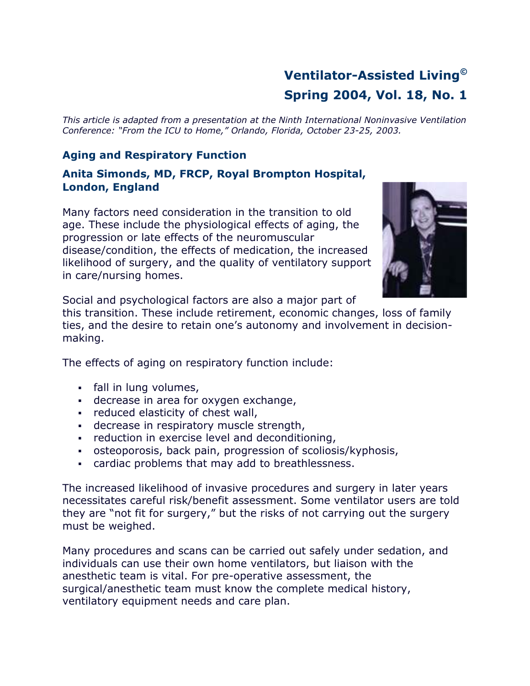# **Ventilator-Assisted Living© Spring 2004, Vol. 18, No. 1**

*This article is adapted from a presentation at the Ninth International Noninvasive Ventilation Conference: "From the ICU to Home," Orlando, Florida, October 23-25, 2003.*

# **Aging and Respiratory Function**

**Anita Simonds, MD, FRCP, Royal Brompton Hospital, London, England** 

Many factors need consideration in the transition to old age. These include the physiological effects of aging, the progression or late effects of the neuromuscular disease/condition, the effects of medication, the increased likelihood of surgery, and the quality of ventilatory support in care/nursing homes.



Social and psychological factors are also a major part of

this transition. These include retirement, economic changes, loss of family ties, and the desire to retain one's autonomy and involvement in decisionmaking.

The effects of aging on respiratory function include:

- fall in lung volumes,
- decrease in area for oxygen exchange,
- **Fig.** reduced elasticity of chest wall,
- decrease in respiratory muscle strength,
- **Fig. 2** reduction in exercise level and deconditioning,
- osteoporosis, back pain, progression of scoliosis/kyphosis,
- cardiac problems that may add to breathlessness.

The increased likelihood of invasive procedures and surgery in later years necessitates careful risk/benefit assessment. Some ventilator users are told they are "not fit for surgery," but the risks of not carrying out the surgery must be weighed.

Many procedures and scans can be carried out safely under sedation, and individuals can use their own home ventilators, but liaison with the anesthetic team is vital. For pre-operative assessment, the surgical/anesthetic team must know the complete medical history, ventilatory equipment needs and care plan.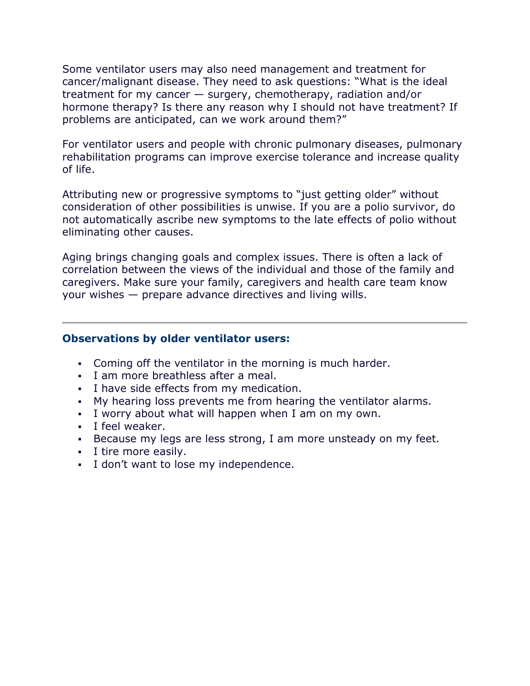Some ventilator users may also need management and treatment for cancer/malignant disease. They need to ask questions: "What is the ideal treatment for my cancer — surgery, chemotherapy, radiation and/or hormone therapy? Is there any reason why I should not have treatment? If problems are anticipated, can we work around them?"

For ventilator users and people with chronic pulmonary diseases, pulmonary rehabilitation programs can improve exercise tolerance and increase quality of life.

Attributing new or progressive symptoms to "just getting older" without consideration of other possibilities is unwise. If you are a polio survivor, do not automatically ascribe new symptoms to the late effects of polio without eliminating other causes.

Aging brings changing goals and complex issues. There is often a lack of correlation between the views of the individual and those of the family and caregivers. Make sure your family, caregivers and health care team know your wishes — prepare advance directives and living wills.

### **Observations by older ventilator users:**

- Coming off the ventilator in the morning is much harder.
- I am more breathless after a meal.
- I have side effects from my medication.
- My hearing loss prevents me from hearing the ventilator alarms.
- I worry about what will happen when I am on my own.
- I feel weaker.
- Because my legs are less strong, I am more unsteady on my feet.
- I tire more easily.
- I don't want to lose my independence.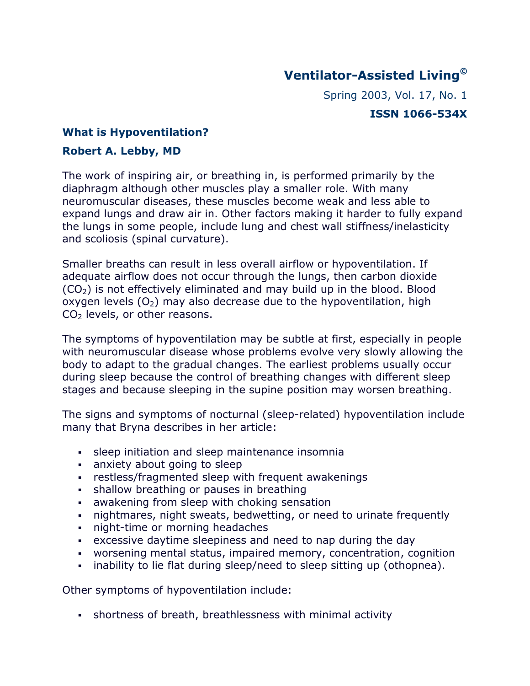# **Ventilator-Assisted Living©**

Spring 2003, Vol. 17, No. 1 **ISSN 1066-534X** 

## **What is Hypoventilation?**

## **Robert A. Lebby, MD**

The work of inspiring air, or breathing in, is performed primarily by the diaphragm although other muscles play a smaller role. With many neuromuscular diseases, these muscles become weak and less able to expand lungs and draw air in. Other factors making it harder to fully expand the lungs in some people, include lung and chest wall stiffness/inelasticity and scoliosis (spinal curvature).

Smaller breaths can result in less overall airflow or hypoventilation. If adequate airflow does not occur through the lungs, then carbon dioxide  $(CO<sub>2</sub>)$  is not effectively eliminated and may build up in the blood. Blood oxygen levels  $(0<sub>2</sub>)$  may also decrease due to the hypoventilation, high CO2 levels, or other reasons.

The symptoms of hypoventilation may be subtle at first, especially in people with neuromuscular disease whose problems evolve very slowly allowing the body to adapt to the gradual changes. The earliest problems usually occur during sleep because the control of breathing changes with different sleep stages and because sleeping in the supine position may worsen breathing.

The signs and symptoms of nocturnal (sleep-related) hypoventilation include many that Bryna describes in her article:

- sleep initiation and sleep maintenance insomnia
- anxiety about going to sleep
- restless/fragmented sleep with frequent awakenings
- **shallow breathing or pauses in breathing**
- awakening from sleep with choking sensation
- nightmares, night sweats, bedwetting, or need to urinate frequently
- night-time or morning headaches
- excessive daytime sleepiness and need to nap during the day
- worsening mental status, impaired memory, concentration, cognition
- . inability to lie flat during sleep/need to sleep sitting up (othopnea).

Other symptoms of hypoventilation include:

shortness of breath, breathlessness with minimal activity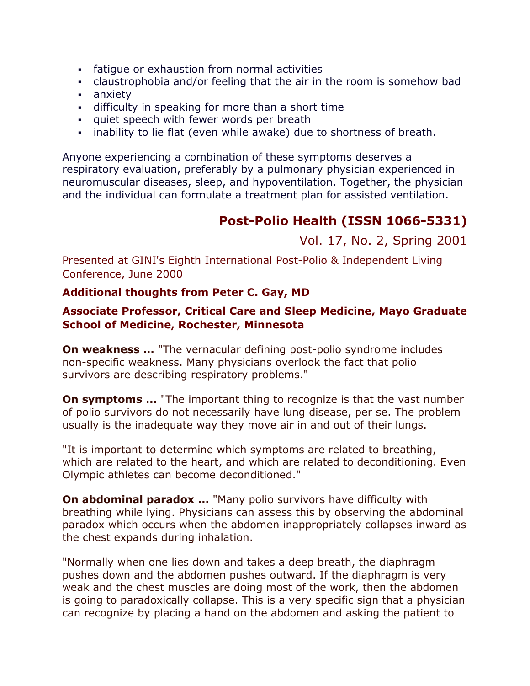- fatigue or exhaustion from normal activities
- claustrophobia and/or feeling that the air in the room is somehow bad
- anxiety
- difficulty in speaking for more than a short time
- **quiet speech with fewer words per breath**
- inability to lie flat (even while awake) due to shortness of breath.

Anyone experiencing a combination of these symptoms deserves a respiratory evaluation, preferably by a pulmonary physician experienced in neuromuscular diseases, sleep, and hypoventilation. Together, the physician and the individual can formulate a treatment plan for assisted ventilation.

# **Post-Polio Health (ISSN 1066-5331)**

# Vol. 17, No. 2, Spring 2001

Presented at GINI's Eighth International Post-Polio & Independent Living Conference, June 2000

## **Additional thoughts from Peter C. Gay, MD**

## **Associate Professor, Critical Care and Sleep Medicine, Mayo Graduate School of Medicine, Rochester, Minnesota**

**On weakness ...** "The vernacular defining post-polio syndrome includes non-specific weakness. Many physicians overlook the fact that polio survivors are describing respiratory problems."

**On symptoms ...** "The important thing to recognize is that the vast number of polio survivors do not necessarily have lung disease, per se. The problem usually is the inadequate way they move air in and out of their lungs.

"It is important to determine which symptoms are related to breathing, which are related to the heart, and which are related to deconditioning. Even Olympic athletes can become deconditioned."

**On abdominal paradox ...** "Many polio survivors have difficulty with breathing while lying. Physicians can assess this by observing the abdominal paradox which occurs when the abdomen inappropriately collapses inward as the chest expands during inhalation.

"Normally when one lies down and takes a deep breath, the diaphragm pushes down and the abdomen pushes outward. If the diaphragm is very weak and the chest muscles are doing most of the work, then the abdomen is going to paradoxically collapse. This is a very specific sign that a physician can recognize by placing a hand on the abdomen and asking the patient to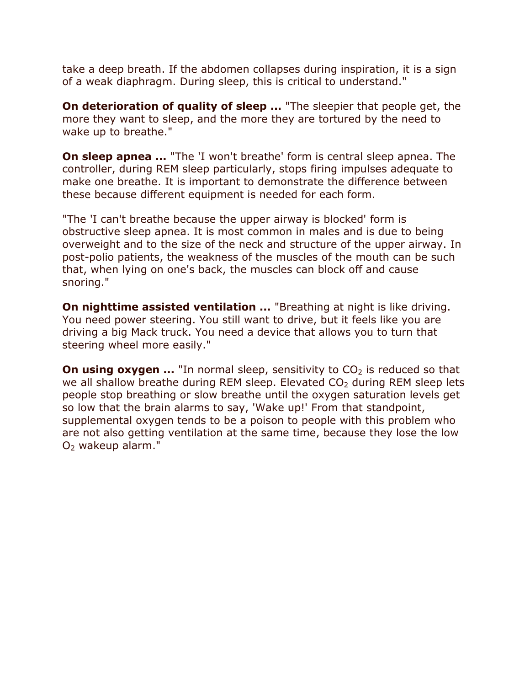take a deep breath. If the abdomen collapses during inspiration, it is a sign of a weak diaphragm. During sleep, this is critical to understand."

**On deterioration of quality of sleep ...** "The sleepier that people get, the more they want to sleep, and the more they are tortured by the need to wake up to breathe."

**On sleep apnea ...** "The 'I won't breathe' form is central sleep apnea. The controller, during REM sleep particularly, stops firing impulses adequate to make one breathe. It is important to demonstrate the difference between these because different equipment is needed for each form.

"The 'I can't breathe because the upper airway is blocked' form is obstructive sleep apnea. It is most common in males and is due to being overweight and to the size of the neck and structure of the upper airway. In post-polio patients, the weakness of the muscles of the mouth can be such that, when lying on one's back, the muscles can block off and cause snoring."

**On nighttime assisted ventilation ...** "Breathing at night is like driving. You need power steering. You still want to drive, but it feels like you are driving a big Mack truck. You need a device that allows you to turn that steering wheel more easily."

**On using oxygen ...** "In normal sleep, sensitivity to CO<sub>2</sub> is reduced so that we all shallow breathe during REM sleep. Elevated  $CO<sub>2</sub>$  during REM sleep lets people stop breathing or slow breathe until the oxygen saturation levels get so low that the brain alarms to say, 'Wake up!' From that standpoint, supplemental oxygen tends to be a poison to people with this problem who are not also getting ventilation at the same time, because they lose the low O2 wakeup alarm."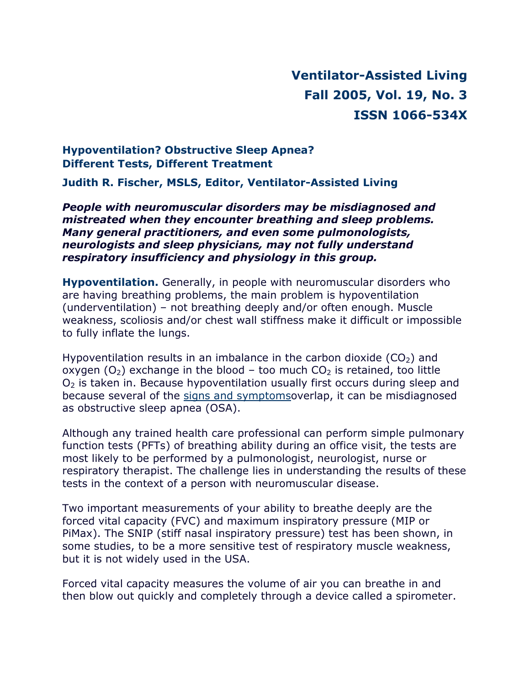# **Ventilator-Assisted Living Fall 2005, Vol. 19, No. 3 ISSN 1066-534X**

## **Hypoventilation? Obstructive Sleep Apnea? Different Tests, Different Treatment**

**Judith R. Fischer, MSLS, Editor, Ventilator-Assisted Living** 

*People with neuromuscular disorders may be misdiagnosed and mistreated when they encounter breathing and sleep problems. Many general practitioners, and even some pulmonologists, neurologists and sleep physicians, may not fully understand respiratory insufficiency and physiology in this group.*

**Hypoventilation.** Generally, in people with neuromuscular disorders who are having breathing problems, the main problem is hypoventilation (underventilation) – not breathing deeply and/or often enough. Muscle weakness, scoliosis and/or chest wall stiffness make it difficult or impossible to fully inflate the lungs.

Hypoventilation results in an imbalance in the carbon dioxide  $(CO<sub>2</sub>)$  and oxygen  $(O_2)$  exchange in the blood – too much  $CO_2$  is retained, too little  $O<sub>2</sub>$  is taken in. Because hypoventilation usually first occurs during sleep and because several of the signs and symptomsoverlap, it can be misdiagnosed as obstructive sleep apnea (OSA).

Although any trained health care professional can perform simple pulmonary function tests (PFTs) of breathing ability during an office visit, the tests are most likely to be performed by a pulmonologist, neurologist, nurse or respiratory therapist. The challenge lies in understanding the results of these tests in the context of a person with neuromuscular disease.

Two important measurements of your ability to breathe deeply are the forced vital capacity (FVC) and maximum inspiratory pressure (MIP or PiMax). The SNIP (stiff nasal inspiratory pressure) test has been shown, in some studies, to be a more sensitive test of respiratory muscle weakness, but it is not widely used in the USA.

Forced vital capacity measures the volume of air you can breathe in and then blow out quickly and completely through a device called a spirometer.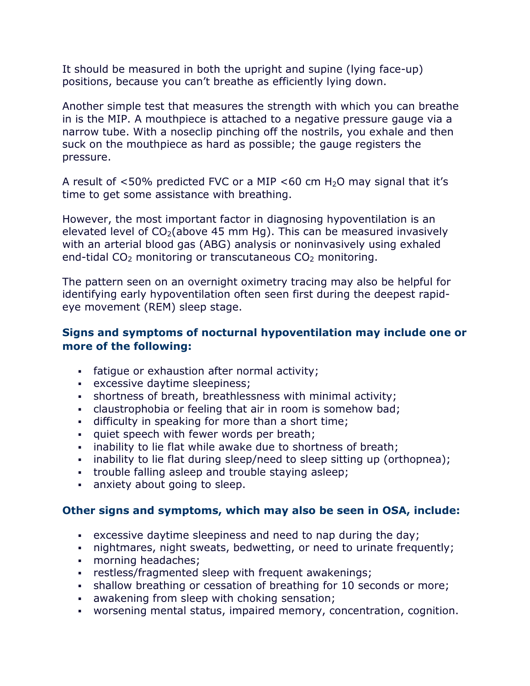It should be measured in both the upright and supine (lying face-up) positions, because you can't breathe as efficiently lying down.

Another simple test that measures the strength with which you can breathe in is the MIP. A mouthpiece is attached to a negative pressure gauge via a narrow tube. With a noseclip pinching off the nostrils, you exhale and then suck on the mouthpiece as hard as possible; the gauge registers the pressure.

A result of  $<50\%$  predicted FVC or a MIP  $<60$  cm H<sub>2</sub>O may signal that it's time to get some assistance with breathing.

However, the most important factor in diagnosing hypoventilation is an elevated level of  $CO<sub>2</sub>(above 45 mm Hg)$ . This can be measured invasively with an arterial blood gas (ABG) analysis or noninvasively using exhaled end-tidal  $CO<sub>2</sub>$  monitoring or transcutaneous  $CO<sub>2</sub>$  monitoring.

The pattern seen on an overnight oximetry tracing may also be helpful for identifying early hypoventilation often seen first during the deepest rapideye movement (REM) sleep stage.

## **Signs and symptoms of nocturnal hypoventilation may include one or more of the following:**

- fatigue or exhaustion after normal activity;
- excessive daytime sleepiness;
- shortness of breath, breathlessness with minimal activity;
- claustrophobia or feeling that air in room is somehow bad;
- difficulty in speaking for more than a short time;
- quiet speech with fewer words per breath;
- . inability to lie flat while awake due to shortness of breath;
- inability to lie flat during sleep/need to sleep sitting up (orthopnea);
- **trouble falling asleep and trouble staying asleep;**
- anxiety about going to sleep.

## **Other signs and symptoms, which may also be seen in OSA, include:**

- excessive daytime sleepiness and need to nap during the day;
- nightmares, night sweats, bedwetting, or need to urinate frequently;
- morning headaches;
- restless/fragmented sleep with frequent awakenings;
- shallow breathing or cessation of breathing for 10 seconds or more;
- awakening from sleep with choking sensation;
- worsening mental status, impaired memory, concentration, cognition.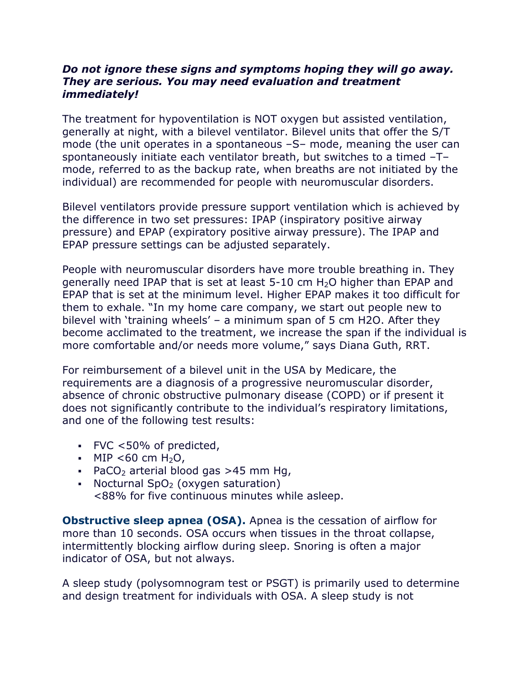## *Do not ignore these signs and symptoms hoping they will go away. They are serious. You may need evaluation and treatment immediately!*

The treatment for hypoventilation is NOT oxygen but assisted ventilation, generally at night, with a bilevel ventilator. Bilevel units that offer the S/T mode (the unit operates in a spontaneous –S– mode, meaning the user can spontaneously initiate each ventilator breath, but switches to a timed –T– mode, referred to as the backup rate, when breaths are not initiated by the individual) are recommended for people with neuromuscular disorders.

Bilevel ventilators provide pressure support ventilation which is achieved by the difference in two set pressures: IPAP (inspiratory positive airway pressure) and EPAP (expiratory positive airway pressure). The IPAP and EPAP pressure settings can be adjusted separately.

People with neuromuscular disorders have more trouble breathing in. They generally need IPAP that is set at least 5-10 cm H2O higher than EPAP and EPAP that is set at the minimum level. Higher EPAP makes it too difficult for them to exhale. "In my home care company, we start out people new to bilevel with 'training wheels' – a minimum span of 5 cm H2O. After they become acclimated to the treatment, we increase the span if the individual is more comfortable and/or needs more volume," says Diana Guth, RRT.

For reimbursement of a bilevel unit in the USA by Medicare, the requirements are a diagnosis of a progressive neuromuscular disorder, absence of chronic obstructive pulmonary disease (COPD) or if present it does not significantly contribute to the individual's respiratory limitations, and one of the following test results:

- FVC <50% of predicted,
- $MIP < 60$  cm H<sub>2</sub>O,
- $\blacksquare$  PaCO<sub>2</sub> arterial blood gas >45 mm Hg,
- Nocturnal SpO<sub>2</sub> (oxygen saturation) <88% for five continuous minutes while asleep.

**Obstructive sleep apnea (OSA).** Apnea is the cessation of airflow for more than 10 seconds. OSA occurs when tissues in the throat collapse, intermittently blocking airflow during sleep. Snoring is often a major indicator of OSA, but not always.

A sleep study (polysomnogram test or PSGT) is primarily used to determine and design treatment for individuals with OSA. A sleep study is not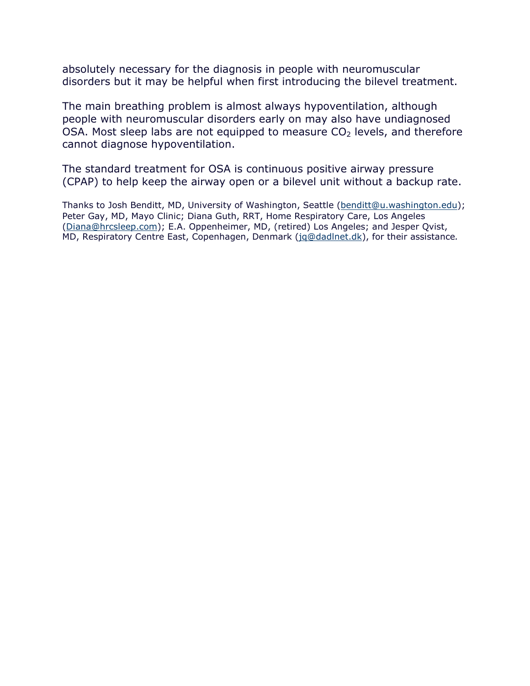absolutely necessary for the diagnosis in people with neuromuscular disorders but it may be helpful when first introducing the bilevel treatment.

The main breathing problem is almost always hypoventilation, although people with neuromuscular disorders early on may also have undiagnosed OSA. Most sleep labs are not equipped to measure  $CO<sub>2</sub>$  levels, and therefore cannot diagnose hypoventilation.

The standard treatment for OSA is continuous positive airway pressure (CPAP) to help keep the airway open or a bilevel unit without a backup rate.

Thanks to Josh Benditt, MD, University of Washington, Seattle ([benditt@u.washington.edu](mailto:benditt@u.washington.edu)); Peter Gay, MD, Mayo Clinic; Diana Guth, RRT, Home Respiratory Care, Los Angeles ([Diana@hrcsleep.com\); E.](mailto:Diana@hrcsleep.com)A. Oppenheimer, MD, (retired) Los Angeles; and Jesper Qvist, MD, Respiratory Centre East, Copenhagen, Denmark [\(jq@dadlnet.dk](mailto:jq@dadlnet.dk)), for their assistance*.*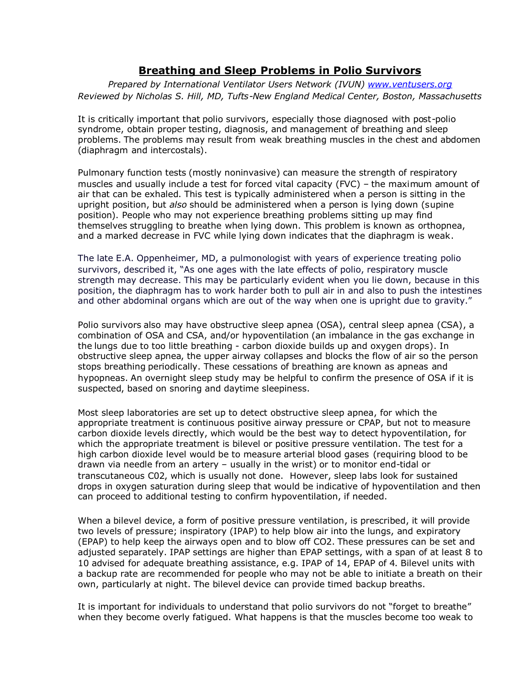### **Breathing and Sleep Problems in Polio Survivors**

*Prepared by International Ventilator Users Network (IVUN) [www.ventusers.org](http://www.ventusers.org) Reviewed by Nicholas S. Hill, MD, Tufts-New England Medical Center, Boston, Massachusetts*

It is critically important that polio survivors, especially those diagnosed with post-polio syndrome, obtain proper testing, diagnosis, and management of breathing and sleep problems. The problems may result from weak breathing muscles in the chest and abdomen (diaphragm and intercostals).

Pulmonary function tests (mostly noninvasive) can measure the strength of respiratory muscles and usually include a test for forced vital capacity (FVC) – the maximum amount of air that can be exhaled. This test is typically administered when a person is sitting in the upright position, but *also* should be administered when a person is lying down (supine position). People who may not experience breathing problems sitting up may find themselves struggling to breathe when lying down. This problem is known as orthopnea, and a marked decrease in FVC while lying down indicates that the diaphragm is weak.

The late E.A. Oppenheimer, MD, a pulmonologist with years of experience treating polio survivors, described it, "As one ages with the late effects of polio, respiratory muscle strength may decrease. This may be particularly evident when you lie down, because in this position, the diaphragm has to work harder both to pull air in and also to push the intestines and other abdominal organs which are out of the way when one is upright due to gravity."

Polio survivors also may have obstructive sleep apnea (OSA), central sleep apnea (CSA), a combination of OSA and CSA, and/or hypoventilation (an imbalance in the gas exchange in the lungs due to too little breathing - carbon dioxide builds up and oxygen drops). In obstructive sleep apnea, the upper airway collapses and blocks the flow of air so the person stops breathing periodically. These cessations of breathing are known as apneas and hypopneas. An overnight sleep study may be helpful to confirm the presence of OSA if it is suspected, based on snoring and daytime sleepiness.

Most sleep laboratories are set up to detect obstructive sleep apnea, for which the appropriate treatment is continuous positive airway pressure or CPAP, but not to measure carbon dioxide levels directly, which would be the best way to detect hypoventilation, for which the appropriate treatment is bilevel or positive pressure ventilation. The test for a high carbon dioxide level would be to measure arterial blood gases (requiring blood to be drawn via needle from an artery – usually in the wrist) or to monitor end-tidal or transcutaneous C02, which is usually not done. However, sleep labs look for sustained drops in oxygen saturation during sleep that would be indicative of hypoventilation and then can proceed to additional testing to confirm hypoventilation, if needed.

When a bilevel device, a form of positive pressure ventilation, is prescribed, it will provide two levels of pressure; inspiratory (IPAP) to help blow air into the lungs, and expiratory (EPAP) to help keep the airways open and to blow off CO2. These pressures can be set and adjusted separately. IPAP settings are higher than EPAP settings, with a span of at least 8 to 10 advised for adequate breathing assistance, e.g. IPAP of 14, EPAP of 4. Bilevel units with a backup rate are recommended for people who may not be able to initiate a breath on their own, particularly at night. The bilevel device can provide timed backup breaths.

It is important for individuals to understand that polio survivors do not "forget to breathe" when they become overly fatigued. What happens is that the muscles become too weak to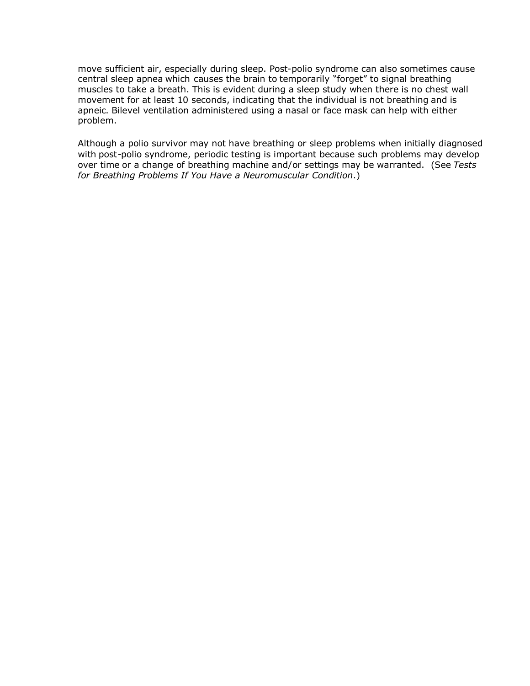move sufficient air, especially during sleep. Post-polio syndrome can also sometimes cause central sleep apnea which causes the brain to temporarily "forget" to signal breathing muscles to take a breath. This is evident during a sleep study when there is no chest wall movement for at least 10 seconds, indicating that the individual is not breathing and is apneic. Bilevel ventilation administered using a nasal or face mask can help with either problem.

Although a polio survivor may not have breathing or sleep problems when initially diagnosed with post-polio syndrome, periodic testing is important because such problems may develop over time or a change of breathing machine and/or settings may be warranted. (See *Tests for Breathing Problems If You Have a Neuromuscular Condition*.)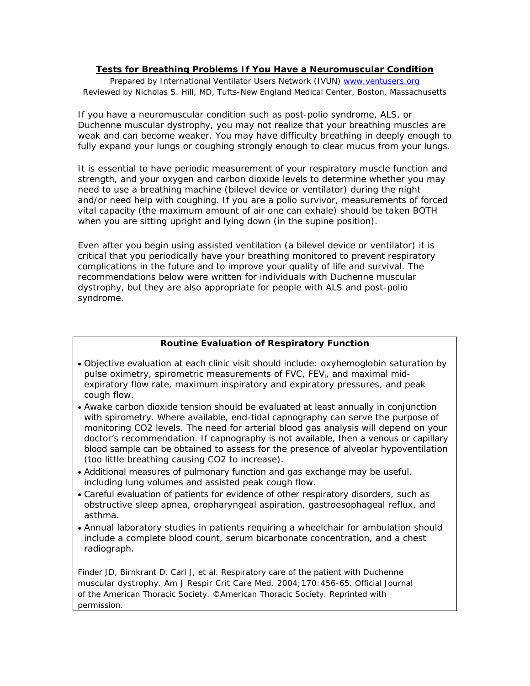#### **Tests for Breathing Problems If You Have a Neuromuscular Condition**

*Prepared by International Ventilator Users Network (IVUN) [www.ventusers.org](http://www.ventusers.org) Reviewed by Nicholas S. Hill, MD, Tufts-New England Medical Center, Boston, Massachusetts* 

If you have a neuromuscular condition such as post-polio syndrome, ALS, or Duchenne muscular dystrophy, you may not realize that your breathing muscles are weak and can become weaker. You may have difficulty breathing in deeply enough to fully expand your lungs or coughing strongly enough to clear mucus from your lungs.

It is essential to have periodic measurement of your respiratory muscle function and strength, and your oxygen and carbon dioxide levels to determine whether you may need to use a breathing machine (bilevel device or ventilator) during the night and/or need help with coughing. If you are a polio survivor, measurements of forced vital capacity (the maximum amount of air one can exhale) should be taken BOTH when you are sitting upright and lying down (in the supine position).

Even after you begin using assisted ventilation (a bilevel device or ventilator) it is critical that you periodically have your breathing monitored to prevent respiratory complications in the future and to improve your quality of life and survival. The recommendations below were written for individuals with Duchenne muscular dystrophy, but they are also appropriate for people with ALS and post-polio syndrome.

#### **Routine Evaluation of Respiratory Function**

- Objective evaluation at each clinic visit should include: oxyhemoglobin saturation by pulse oximetry, spirometric measurements of FVC, FEVi, and maximal midexpiratory flow rate, maximum inspiratory and expiratory pressures, and peak cough flow.
- Awake carbon dioxide tension should be evaluated at least annually in conjunction with spirometry. Where available, end-tidal capnography can serve the purpose of monitoring CO2 levels. The need for arterial blood gas analysis will depend on your doctor's recommendation. If capnography is not available, then a venous or capillary blood sample can be obtained to assess for the presence of alveolar hypoventilation (too little breathing causing CO2 to increase).
- Additional measures of pulmonary function and gas exchange may be useful, including lung volumes and assisted peak cough flow.
- Careful evaluation of patients for evidence of other respiratory disorders, such as obstructive sleep apnea, oropharyngeal aspiration, gastroesophageal reflux, and asthma.
- Annual laboratory studies in patients requiring a wheelchair for ambulation should include a complete blood count, serum bicarbonate concentration, and a chest radiograph.

Finder JD, Birnkrant D, Carl J, et al. Respiratory care of the patient with Duchenne muscular dystrophy. *Am J Respir Crit Care Med.* 2004;170:456-65. Official Journal of the American Thoracic Society. ©American Thoracic Society. Reprinted with permission.